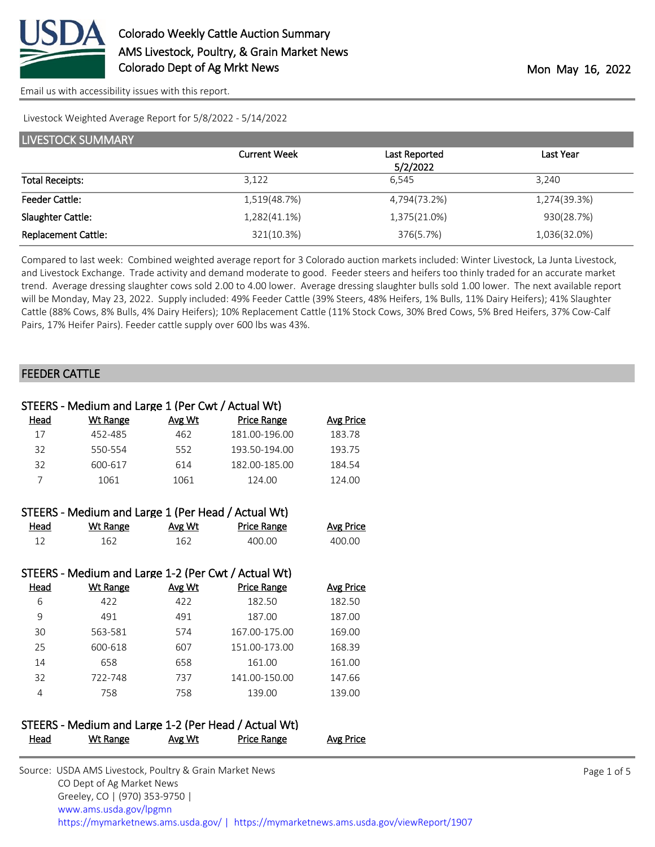

Livestock Weighted Average Report for 5/8/2022 - 5/14/2022

| LIVESTOCK SUMMARY          |                     |               |              |
|----------------------------|---------------------|---------------|--------------|
|                            | <b>Current Week</b> | Last Reported | Last Year    |
|                            |                     | 5/2/2022      |              |
| <b>Total Receipts:</b>     | 3,122               | 6.545         | 3,240        |
| <b>Feeder Cattle:</b>      | 1,519(48.7%)        | 4,794(73.2%)  | 1,274(39.3%) |
| Slaughter Cattle:          | 1,282(41.1%)        | 1,375(21.0%)  | 930(28.7%)   |
| <b>Replacement Cattle:</b> | 321(10.3%)          | 376(5.7%)     | 1,036(32.0%) |

Compared to last week: Combined weighted average report for 3 Colorado auction markets included: Winter Livestock, La Junta Livestock, and Livestock Exchange. Trade activity and demand moderate to good. Feeder steers and heifers too thinly traded for an accurate market trend. Average dressing slaughter cows sold 2.00 to 4.00 lower. Average dressing slaughter bulls sold 1.00 lower. The next available report will be Monday, May 23, 2022. Supply included: 49% Feeder Cattle (39% Steers, 48% Heifers, 1% Bulls, 11% Dairy Heifers); 41% Slaughter Cattle (88% Cows, 8% Bulls, 4% Dairy Heifers); 10% Replacement Cattle (11% Stock Cows, 30% Bred Cows, 5% Bred Heifers, 37% Cow-Calf Pairs, 17% Heifer Pairs). Feeder cattle supply over 600 lbs was 43%.

#### FEEDER CATTLE

|             | STEERS - Medium and Large 1 (Per Cwt / Actual Wt)   |        |                    |                  |
|-------------|-----------------------------------------------------|--------|--------------------|------------------|
| Head        | <b>Wt Range</b>                                     | Avg Wt | <b>Price Range</b> | <b>Avg Price</b> |
| 17          | 452-485                                             | 462    | 181.00-196.00      | 183.78           |
| 32          | 550-554                                             | 552    | 193.50-194.00      | 193.75           |
| 32          | 600-617                                             | 614    | 182.00-185.00      | 184.54           |
| 7           | 1061                                                | 1061   | 124.00             | 124.00           |
|             | STEERS - Medium and Large 1 (Per Head / Actual Wt)  |        |                    |                  |
| <b>Head</b> | <b>Wt Range</b>                                     | Avg Wt | <b>Price Range</b> | <b>Avg Price</b> |
| 12          | 162                                                 | 162    | 400.00             | 400.00           |
|             |                                                     |        |                    |                  |
|             | STEERS - Medium and Large 1-2 (Per Cwt / Actual Wt) |        |                    |                  |
| Head        | <b>Wt Range</b>                                     | Avg Wt | <b>Price Range</b> | <b>Avg Price</b> |
| 6           | 422                                                 | 422    | 182.50             | 182.50           |
| 9           | 491                                                 | 491    | 187.00             | 187.00           |
| 30          | 563-581                                             | 574    | 167.00-175.00      | 169.00           |
| 25          | 600-618                                             | 607    | 151.00-173.00      | 168.39           |
| 14          | 658                                                 | 658    | 161.00             | 161.00           |
| 32          | 722-748                                             | 737    | 141.00-150.00      | 147.66           |
| 4           | 758                                                 | 758    | 139.00             | 139.00           |
|             |                                                     |        |                    |                  |
|             |                                                     | .<br>. |                    |                  |

|      |          |        | STEERS - Medium and Large 1-2 (Per Head / Actual Wt) |           |
|------|----------|--------|------------------------------------------------------|-----------|
| Head | Wt Range | Avg Wt | Price Range                                          | Avg Price |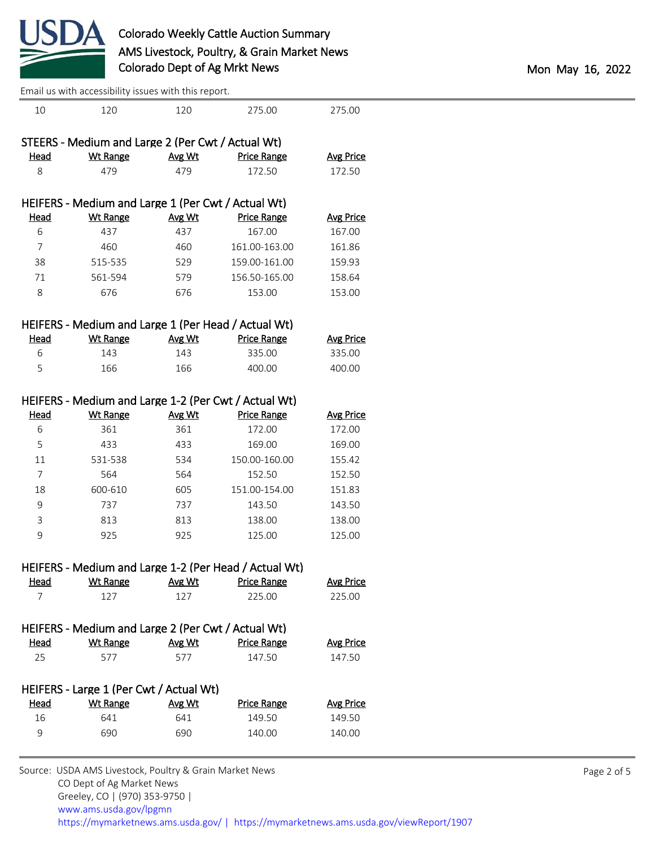

|                               |                                                     | Lindii us with accessibility issues with this report. |                                                       |                            |  |
|-------------------------------|-----------------------------------------------------|-------------------------------------------------------|-------------------------------------------------------|----------------------------|--|
| 10                            | 120                                                 | 120                                                   | 275.00                                                | 275.00                     |  |
|                               | STEERS - Medium and Large 2 (Per Cwt / Actual Wt)   |                                                       |                                                       |                            |  |
| <b>Head</b>                   | <b>Wt Range</b>                                     | Avg Wt                                                | <b>Price Range</b>                                    | <b>Avg Price</b>           |  |
| 8                             | 479                                                 | 479                                                   | 172.50                                                | 172.50                     |  |
|                               |                                                     |                                                       |                                                       |                            |  |
|                               | HEIFERS - Medium and Large 1 (Per Cwt / Actual Wt)  |                                                       |                                                       |                            |  |
| <b>Head</b>                   | <b>Wt Range</b>                                     | Avg Wt                                                | <b>Price Range</b>                                    | <b>Avg Price</b>           |  |
| 6                             | 437                                                 | 437                                                   | 167.00                                                | 167.00                     |  |
| $\overline{7}$                | 460                                                 | 460                                                   | 161.00-163.00                                         | 161.86                     |  |
| 38                            | 515-535                                             | 529                                                   | 159.00-161.00                                         | 159.93                     |  |
| 71                            | 561-594                                             | 579                                                   | 156.50-165.00                                         | 158.64                     |  |
| 8                             | 676                                                 | 676                                                   | 153.00                                                | 153.00                     |  |
|                               |                                                     |                                                       |                                                       |                            |  |
|                               | HEIFERS - Medium and Large 1 (Per Head / Actual Wt) |                                                       |                                                       |                            |  |
| <b>Head</b><br>6              | <b>Wt Range</b><br>143                              | Avg Wt<br>143                                         | <b>Price Range</b><br>335.00                          | <b>Avg Price</b><br>335.00 |  |
|                               |                                                     |                                                       |                                                       |                            |  |
| 5                             | 166                                                 | 166                                                   | 400.00                                                | 400.00                     |  |
|                               |                                                     |                                                       | HEIFERS - Medium and Large 1-2 (Per Cwt / Actual Wt)  |                            |  |
| <b>Head</b>                   | <b>Wt Range</b>                                     | Avg Wt                                                | <b>Price Range</b>                                    | <b>Avg Price</b>           |  |
| 6                             | 361                                                 | 361                                                   | 172.00                                                | 172.00                     |  |
| 5                             | 433                                                 | 433                                                   | 169.00                                                | 169.00                     |  |
| $11\,$                        | 531-538                                             | 534                                                   | 150.00-160.00                                         | 155.42                     |  |
| $\overline{7}$                | 564                                                 | 564                                                   | 152.50                                                | 152.50                     |  |
| 18                            | 600-610                                             | 605                                                   | 151.00-154.00                                         | 151.83                     |  |
| 9                             | 737                                                 | 737                                                   | 143.50                                                | 143.50                     |  |
| 3                             | 813                                                 | 813                                                   | 138.00                                                | 138.00                     |  |
| 9                             | 925                                                 | 925                                                   | 125.00                                                | 125.00                     |  |
|                               |                                                     |                                                       |                                                       |                            |  |
|                               |                                                     |                                                       | HEIFERS - Medium and Large 1-2 (Per Head / Actual Wt) |                            |  |
| <b>Head</b><br>$\overline{7}$ | <b>Wt Range</b><br>127                              | Avg Wt<br>127                                         | <b>Price Range</b><br>225.00                          | <b>Avg Price</b><br>225.00 |  |
|                               |                                                     |                                                       |                                                       |                            |  |
|                               | HEIFERS - Medium and Large 2 (Per Cwt / Actual Wt)  |                                                       |                                                       |                            |  |
| <b>Head</b>                   | <b>Wt Range</b>                                     | Avg Wt                                                | <b>Price Range</b>                                    | <b>Avg Price</b>           |  |
| 25                            | 577                                                 | 577                                                   | 147.50                                                | 147.50                     |  |
|                               |                                                     |                                                       |                                                       |                            |  |
|                               | HEIFERS - Large 1 (Per Cwt / Actual Wt)             |                                                       |                                                       |                            |  |
| <b>Head</b>                   | <b>Wt Range</b>                                     | Avg Wt                                                | <b>Price Range</b>                                    | <b>Avg Price</b>           |  |
| 16                            | 641                                                 | 641                                                   | 149.50                                                | 149.50                     |  |
| 9                             | 690                                                 | 690                                                   | 140.00                                                | 140.00                     |  |
|                               |                                                     |                                                       |                                                       |                            |  |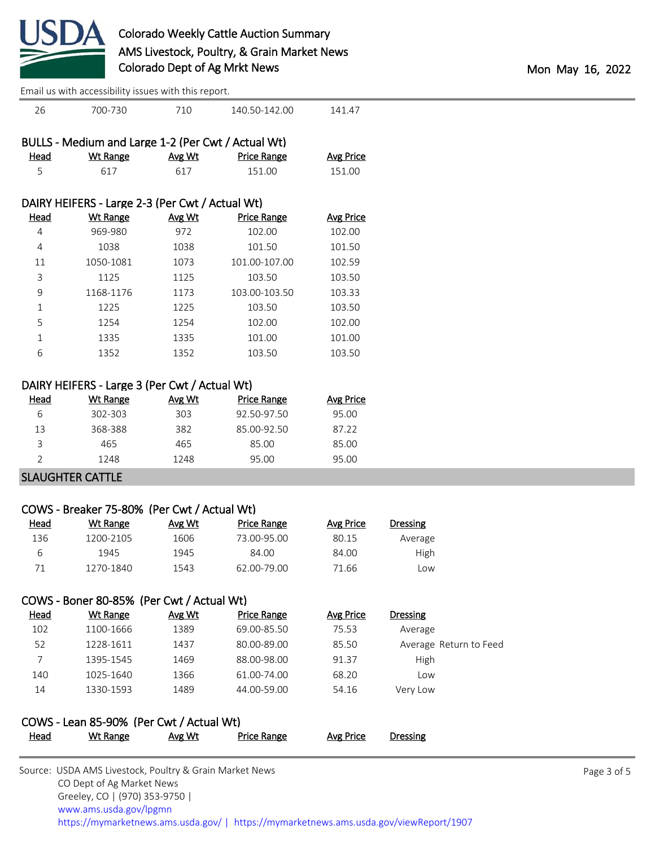

| 26          | 700-730                                            | 710    | 140.50-142.00      | 141.47           |
|-------------|----------------------------------------------------|--------|--------------------|------------------|
|             | BULLS - Medium and Large 1-2 (Per Cwt / Actual Wt) |        |                    |                  |
| Head        | Wt Range                                           | Avg Wt | <b>Price Range</b> | <b>Avg Price</b> |
| 5           | 617                                                | 617    | 151.00             | 151.00           |
|             |                                                    |        |                    |                  |
|             | DAIRY HEIFERS - Large 2-3 (Per Cwt / Actual Wt)    |        |                    |                  |
| <u>Head</u> | Wt Range                                           | Avg Wt | <b>Price Range</b> | <b>Avg Price</b> |
| 4           | 969-980                                            | 972    | 102.00             | 102.00           |
| 4           | 1038                                               | 1038   | 101.50             | 101.50           |
| 11          | 1050-1081                                          | 1073   | 101.00-107.00      | 102.59           |
| 3           | 1125                                               | 1125   | 103.50             | 103.50           |
| 9           | 1168-1176                                          | 1173   | 103.00-103.50      | 103.33           |
| $\mathbf 1$ | 1225                                               | 1225   | 103.50             | 103.50           |
| 5           | 1254                                               | 1254   | 102.00             | 102.00           |
| $\mathbf 1$ | 1335                                               | 1335   | 101.00             | 101.00           |
|             |                                                    |        |                    |                  |

#### DAIRY HEIFERS - Large 3 (Per Cwt / Actual Wt)

| Head | Wt Range | Avg Wt | Price Range | Avg Price |
|------|----------|--------|-------------|-----------|
| 6    | 302-303  | 303    | 92.50-97.50 | 95.00     |
| 13   | 368-388  | 382    | 85.00-92.50 | 87.22     |
| ੨    | 465      | 465    | 85.00       | 85.00     |
|      | 1248     | 1248   | 95.00       | 95.00     |
|      |          |        |             |           |

6 1352 1352 103.50 103.50

### SLAUGHTER CATTLE

## COWS - Breaker 75-80% (Per Cwt / Actual Wt)

| <u>Head</u> | Wt Range  | Avg Wt | Price Range | Avg Price | <b>Dressing</b> |  |
|-------------|-----------|--------|-------------|-----------|-----------------|--|
| 136         | 1200-2105 | 1606   | 73.00-95.00 | 80.15     | Average         |  |
| ь           | 1945      | 1945   | 84.00       | 84.00     | High            |  |
|             | 1270-1840 | 1543   | 62.00-79.00 | 71.66     | Low             |  |

## COWS - Boner 80-85% (Per Cwt / Actual Wt)

| <u>Head</u> | Wt Range  | Avg Wt | <b>Price Range</b> | Avg Price | <b>Dressing</b>        |
|-------------|-----------|--------|--------------------|-----------|------------------------|
| 102         | 1100-1666 | 1389   | 69.00-85.50        | 75.53     | Average                |
| 52          | 1228-1611 | 1437   | 80.00-89.00        | 85.50     | Average Return to Feed |
|             | 1395-1545 | 1469   | 88.00-98.00        | 91.37     | High                   |
| 140         | 1025-1640 | 1366   | 61.00-74.00        | 68.20     | Low                    |
| 14          | 1330-1593 | 1489   | 44.00-59.00        | 54.16     | Very Low               |

## COWS - Lean 85-90% (Per Cwt / Actual Wt)

| <b>Head</b> | Wt Range | Avg Wt | Price Range | Avg Price | Dressing |
|-------------|----------|--------|-------------|-----------|----------|
|             |          |        |             |           |          |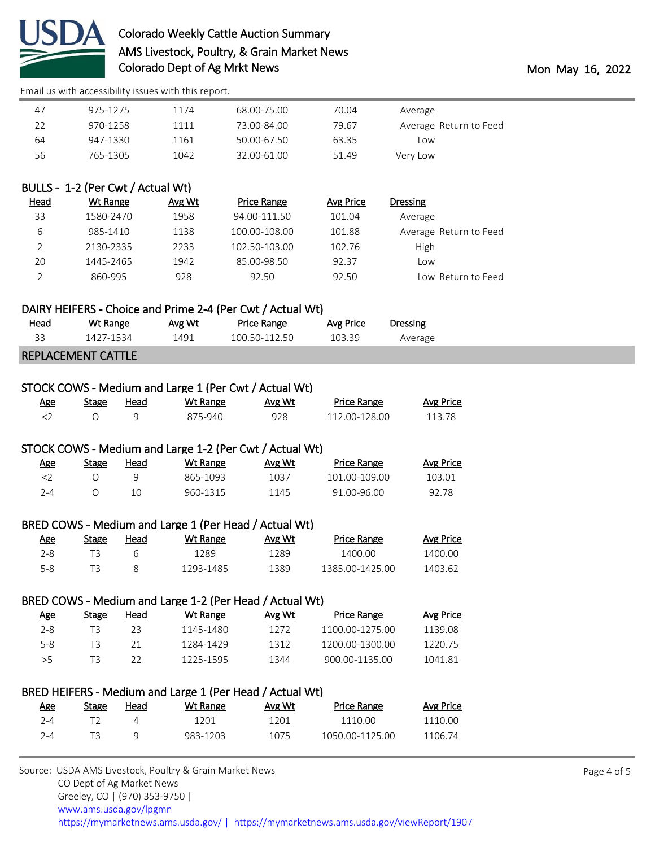

## Colorado Weekly Cattle Auction Summary AMS Livestock, Poultry, & Grain Market News Colorado Dept of Ag Mrkt News **Mon May 16, 2022**

[Email us with accessibility issues with this report.](mailto:mars@ams.usda.gov?subject=508%20issue)

| Average                | 70.04 | 68.00-75.00 | 1174 | 975-1275 | 47 |
|------------------------|-------|-------------|------|----------|----|
| Average Return to Feed | 79.67 | 73.00-84.00 | 1111 | 970-1258 | 22 |
| Low                    | 63.35 | 50.00-67.50 | 1161 | 947-1330 | 64 |
| Verv Low               | 51.49 | 32.00-61.00 | 1042 | 765-1305 | 56 |

## BULLS - 1-2 (Per Cwt / Actual Wt)

|                        | <b>Dressing</b> | Avg Price | Price Range   | Avg Wt | Wt Range  | <u>Head</u> |
|------------------------|-----------------|-----------|---------------|--------|-----------|-------------|
|                        | Average         | 101.04    | 94.00-111.50  | 1958   | 1580-2470 | 33          |
| Average Return to Feed |                 | 101.88    | 100.00-108.00 | 1138   | 985-1410  | 6           |
|                        | High            | 102.76    | 102.50-103.00 | 2233   | 2130-2335 |             |
|                        | Low             | 92.37     | 85.00-98.50   | 1942   | 1445-2465 | 20          |
| Low Return to Feed     |                 | 92.50     | 92.50         | 928    | 860-995   |             |

#### DAIRY HEIFERS - Choice and Prime 2-4 (Per Cwt / Actual Wt)

| <u>Head</u> | Wt Range                  | Avg Wt | <b>Price Range</b> | Avg Price | Dressing |
|-------------|---------------------------|--------|--------------------|-----------|----------|
| 33          | 1427-1534                 | 1491   | 100.50-112.50      | 103.39    | Average  |
|             | <b>REPLACEMENT CATTLE</b> |        |                    |           |          |

## STOCK COWS - Medium and Large 1 (Per Cwt / Actual Wt)

| Age | Stage | Head | Wt Range | Avg Wt | <b>Price Range</b> | Avg Price |  |  |
|-----|-------|------|----------|--------|--------------------|-----------|--|--|
|     |       |      | 875-940  | 928    | 112.00-128.00      | 113.78    |  |  |

#### STOCK COWS - Medium and Large 1-2 (Per Cwt / Actual Wt)

| Age | Stage | Head | <u>Wt Range</u> | Avg Wt | <b>Price Range</b> | <b>Avg Price</b> |
|-----|-------|------|-----------------|--------|--------------------|------------------|
|     |       |      | 865-1093        | 1037   | 101.00-109.00      | 103.01           |
| 7-4 |       |      | 960-1315        | 1145   | 91.00-96.00        | 92.78            |

## BRED COWS - Medium and Large 1 (Per Head / Actual Wt)

| <u>Age</u> | <b>Stage</b> | Head | Wt Range  | Avg Wt | <b>Price Range</b> | Avg Price |
|------------|--------------|------|-----------|--------|--------------------|-----------|
| 2-8        |              |      | 1289      | 1289   | 1400.00            | 1400.00   |
| 5-8        |              |      | 1293-1485 | 1389   | 1385.00-1425.00    | 1403.62   |

## BRED COWS - Medium and Large 1-2 (Per Head / Actual Wt)

| <u>Age</u> | Stage | Head | Wt Range  | Avg Wt | Price Range     | Avg Price |
|------------|-------|------|-----------|--------|-----------------|-----------|
| $2 - 8$    |       | フ3   | 1145-1480 | 1272   | 1100.00-1275.00 | 1139.08   |
| 5-8        |       | 21   | 1284-1429 | 1312   | 1200 00-1300 00 | 1220.75   |
| >5.        |       | 77   | 1225-1595 | 1344   | 900.00-1135.00  | 1041.81   |

# BRED HEIFERS - Medium and Large 1 (Per Head / Actual Wt)<br>Are stage Head Wt Bange Avg Wt

| <u>Age</u> | Stage | Head | Wt Range | Avg Wt | <b>Price Range</b> | Avg Price |
|------------|-------|------|----------|--------|--------------------|-----------|
| 7-4        |       |      | 1201     | 1201   | 1110 OO            | 1110 00   |
| $2 - 4$    |       |      | 983-1203 | 1075   | 1050.00-1125.00    | 1106.74   |